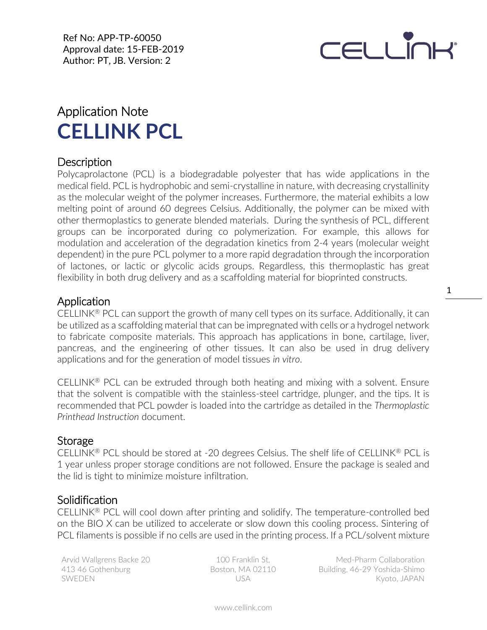Ref No: APP-TP-60050 Approval date: 15-FEB-2019 Author: PT, JB. Version: 2



# Application Note **CELLINK PCL**

## **Description**

Polycaprolactone (PCL) is a biodegradable polyester that has wide applications in the medical field. PCL is hydrophobic and semi-crystalline in nature, with decreasing crystallinity as the molecular weight of the polymer increases. Furthermore, the material exhibits a low melting point of around 60 degrees Celsius. Additionally, the polymer can be mixed with other thermoplastics to generate blended materials. During the synthesis of PCL, different groups can be incorporated during co polymerization. For example, this allows for modulation and acceleration of the degradation kinetics from 2-4 years (molecular weight dependent) in the pure PCL polymer to a more rapid degradation through the incorporation of lactones, or lactic or glycolic acids groups. Regardless, this thermoplastic has great flexibility in both drug delivery and as a scaffolding material for bioprinted constructs.

#### Application

CELLINK<sup>®</sup> PCL can support the growth of many cell types on its surface. Additionally, it can be utilized as a scaffolding material that can be impregnated with cells or a hydrogel network to fabricate composite materials. This approach has applications in bone, cartilage, liver, pancreas, and the engineering of other tissues. It can also be used in drug delivery applications and for the generation of model tissues *in vitro*.

CELLINK<sup>®</sup> PCL can be extruded through both heating and mixing with a solvent. Ensure that the solvent is compatible with the stainless-steel cartridge, plunger, and the tips. It is recommended that PCL powder is loaded into the cartridge as detailed in the *Thermoplastic Printhead Instruction* document.

#### Storage

CELLINK® PCL should be stored at -20 degrees Celsius. The shelf life of CELLINK® PCL is 1 year unless proper storage conditions are not followed. Ensure the package is sealed and the lid is tight to minimize moisture infiltration.

#### **Solidification**

CELLINK® PCL will cool down after printing and solidify. The temperature-controlled bed on the BIO X can be utilized to accelerate or slow down this cooling process. Sintering of PCL filaments is possible if no cells are used in the printing process. If a PCL/solvent mixture

Arvid Wallgrens Backe 20 413 46 Gothenburg **SWEDEN** 

100 Franklin St, Boston, MA 02110 USA

Med-Pharm Collaboration Building, 46-29 Yoshida-Shimo Kyoto, JAPAN

1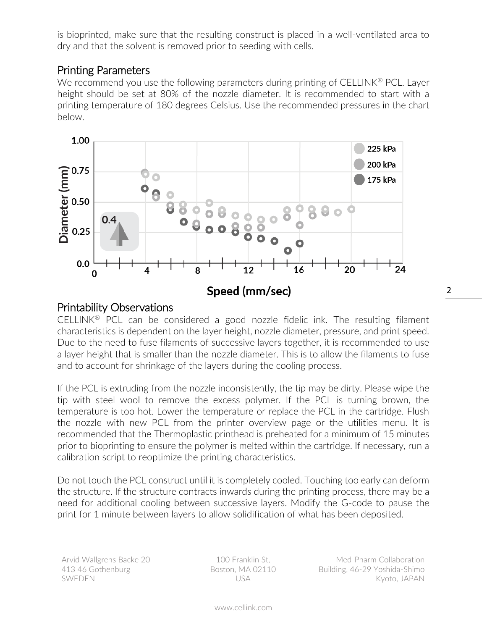is bioprinted, make sure that the resulting construct is placed in a well-ventilated area to dry and that the solvent is removed prior to seeding with cells.

## Printing Parameters

We recommend you use the following parameters during printing of CELLINK<sup>®</sup> PCL. Layer height should be set at 80% of the nozzle diameter. It is recommended to start with a printing temperature of 180 degrees Celsius. Use the recommended pressures in the chart below.



## Printability Observations

CELLINK® PCL can be considered a good nozzle fidelic ink. The resulting filament characteristics is dependent on the layer height, nozzle diameter, pressure, and print speed. Due to the need to fuse filaments of successive layers together, it is recommended to use a layer height that is smaller than the nozzle diameter. This is to allow the filaments to fuse and to account for shrinkage of the layers during the cooling process.

If the PCL is extruding from the nozzle inconsistently, the tip may be dirty. Please wipe the tip with steel wool to remove the excess polymer. If the PCL is turning brown, the temperature is too hot. Lower the temperature or replace the PCL in the cartridge. Flush the nozzle with new PCL from the printer overview page or the utilities menu. It is recommended that the Thermoplastic printhead is preheated for a minimum of 15 minutes prior to bioprinting to ensure the polymer is melted within the cartridge. If necessary, run a calibration script to reoptimize the printing characteristics.

Do not touch the PCL construct until it is completely cooled. Touching too early can deform the structure. If the structure contracts inwards during the printing process, there may be a need for additional cooling between successive layers. Modify the G-code to pause the print for 1 minute between layers to allow solidification of what has been deposited.

Arvid Wallgrens Backe 20 413 46 Gothenburg SWEDEN

100 Franklin St, Boston, MA 02110 USA

Med-Pharm Collaboration Building, 46-29 Yoshida-Shimo Kyoto, JAPAN